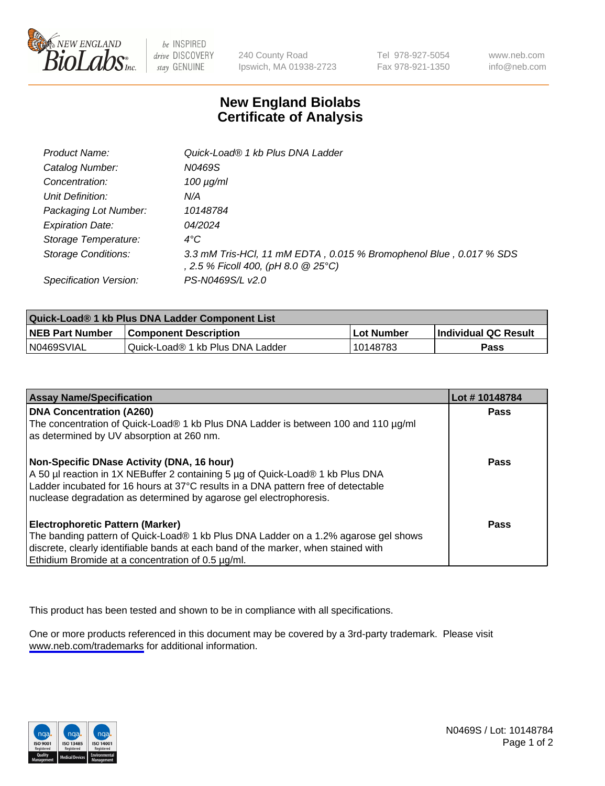

be INSPIRED drive DISCOVERY stay GENUINE

240 County Road Ipswich, MA 01938-2723 Tel 978-927-5054 Fax 978-921-1350

www.neb.com info@neb.com

## **New England Biolabs Certificate of Analysis**

| Product Name:              | Quick-Load® 1 kb Plus DNA Ladder                                                                          |
|----------------------------|-----------------------------------------------------------------------------------------------------------|
| Catalog Number:            | N0469S                                                                                                    |
| Concentration:             | $100 \mu g/ml$                                                                                            |
| Unit Definition:           | N/A                                                                                                       |
| Packaging Lot Number:      | 10148784                                                                                                  |
| <b>Expiration Date:</b>    | 04/2024                                                                                                   |
| Storage Temperature:       | $4^{\circ}$ C                                                                                             |
| <b>Storage Conditions:</b> | 3.3 mM Tris-HCl, 11 mM EDTA, 0.015 % Bromophenol Blue, 0.017 % SDS<br>, 2.5 % Ficoll 400, (pH 8.0 @ 25°C) |
| Specification Version:     | PS-N0469S/L v2.0                                                                                          |

| Quick-Load® 1 kb Plus DNA Ladder Component List |                                  |            |                             |  |
|-------------------------------------------------|----------------------------------|------------|-----------------------------|--|
| <b>NEB Part Number</b>                          | <b>Component Description</b>     | Lot Number | <b>Individual QC Result</b> |  |
| N0469SVIAL                                      | Quick-Load® 1 kb Plus DNA Ladder | 10148783   | Pass                        |  |

| <b>Assay Name/Specification</b>                                                                                       | Lot #10148784 |
|-----------------------------------------------------------------------------------------------------------------------|---------------|
| <b>DNA Concentration (A260)</b><br>The concentration of Quick-Load® 1 kb Plus DNA Ladder is between 100 and 110 µg/ml | <b>Pass</b>   |
| as determined by UV absorption at 260 nm.                                                                             |               |
| Non-Specific DNase Activity (DNA, 16 hour)                                                                            | Pass          |
| A 50 µl reaction in 1X NEBuffer 2 containing 5 µg of Quick-Load® 1 kb Plus DNA                                        |               |
| Ladder incubated for 16 hours at 37°C results in a DNA pattern free of detectable                                     |               |
| nuclease degradation as determined by agarose gel electrophoresis.                                                    |               |
| <b>Electrophoretic Pattern (Marker)</b>                                                                               | Pass          |
| The banding pattern of Quick-Load® 1 kb Plus DNA Ladder on a 1.2% agarose gel shows                                   |               |
| discrete, clearly identifiable bands at each band of the marker, when stained with                                    |               |
| Ethidium Bromide at a concentration of 0.5 µg/ml.                                                                     |               |

This product has been tested and shown to be in compliance with all specifications.

One or more products referenced in this document may be covered by a 3rd-party trademark. Please visit <www.neb.com/trademarks>for additional information.